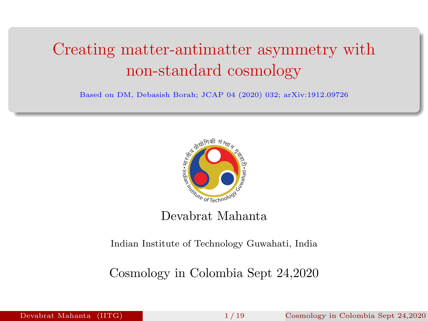# Creating matter-antimatter asymmetry with non-standard cosmology

Based on DM, Debasish Borah; JCAP 04 (2020) 032; arXiv:1912.09726



### Devabrat Mahanta

Indian Institute of Technology Guwahati, India

Cosmology in Colombia Sept 24,2020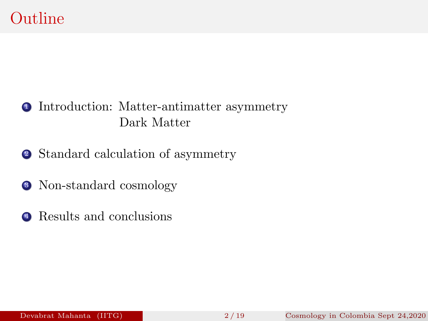### <sup>1</sup> Introduction: Matter-antimatter asymmetry Dark Matter

- <sup>2</sup> Standard calculation of asymmetry
- <sup>3</sup> Non-standard cosmology
- **4** Results and conclusions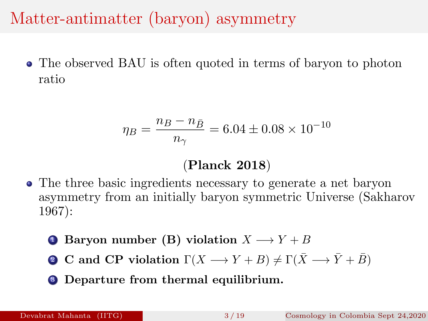# Matter-antimatter (baryon) asymmetry

• The observed BAU is often quoted in terms of baryon to photon ratio

$$
\eta_B = \frac{n_B - n_{\bar{B}}}{n_{\gamma}} = 6.04 \pm 0.08 \times 10^{-10}
$$

### (Planck 2018)

- The three basic ingredients necessary to generate a net baryon asymmetry from an initially baryon symmetric Universe (Sakharov 1967):
	- **1** Baryon number (B) violation  $X \rightarrow Y + B$
	- **2** C and CP violation  $\Gamma(X \to Y + B) \neq \Gamma(\bar{X} \to \bar{Y} + \bar{B})$
	- **3** Departure from thermal equilibrium.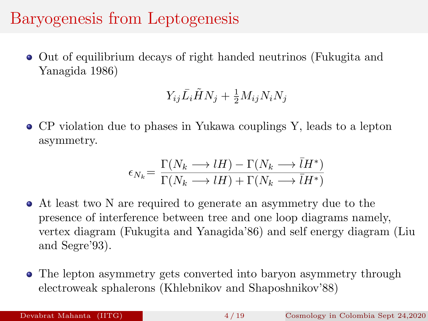# Baryogenesis from Leptogenesis

Out of equilibrium decays of right handed neutrinos (Fukugita and Yanagida 1986)

$$
Y_{ij}\bar{L}_i\tilde{H}N_j + \frac{1}{2}M_{ij}N_iN_j
$$

CP violation due to phases in Yukawa couplings Y, leads to a lepton asymmetry.

$$
\epsilon_{N_k} = \frac{\Gamma(N_k \longrightarrow lH) - \Gamma(N_k \longrightarrow \overline{l}H^*)}{\Gamma(N_k \longrightarrow lH) + \Gamma(N_k \longrightarrow \overline{l}H^*)}
$$

- At least two N are required to generate an asymmetry due to the presence of interference between tree and one loop diagrams namely, vertex diagram (Fukugita and Yanagida'86) and self energy diagram (Liu and Segre'93).
- The lepton asymmetry gets converted into baryon asymmetry through electroweak sphalerons (Khlebnikov and Shaposhnikov'88)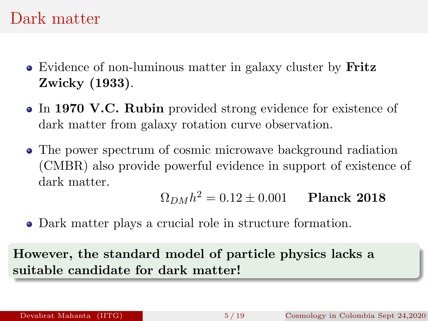### Dark matter

- Evidence of non-luminous matter in galaxy cluster by Fritz Zwicky (1933).
- In 1970 V.C. Rubin provided strong evidence for existence of dark matter from galaxy rotation curve observation.
- The power spectrum of cosmic microwave background radiation (CMBR) also provide powerful evidence in support of existence of dark matter.

$$
\Omega_{DM} h^2 = 0.12 \pm 0.001
$$
 Planck 2018

Dark matter plays a crucial role in structure formation.

However, the standard model of particle physics lacks a suitable candidate for dark matter!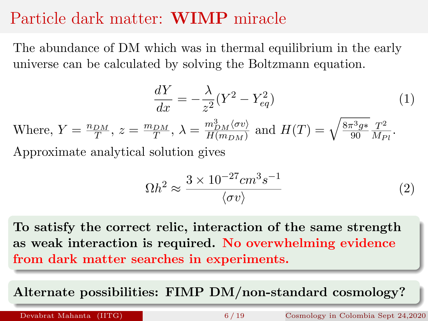### Particle dark matter: WIMP miracle

The abundance of DM which was in thermal equilibrium in the early universe can be calculated by solving the Boltzmann equation.

$$
\frac{dY}{dx} = -\frac{\lambda}{z^2} (Y^2 - Y_{eq}^2)
$$
\n<sup>(1)</sup>

Where,  $Y = \frac{n_{DM}}{T}$ ,  $z = \frac{m_{DM}}{T}$ ,  $\lambda = \frac{m_{DM}^3 \langle \sigma v \rangle}{H(m_{DM})}$  $\frac{m_{DM}^3 \langle \sigma v \rangle}{H(m_{DM})}$  and  $H(T) = \sqrt{\frac{8\pi^3 g*}{90}}$ 90  $T^2$  $rac{1}{M_{Pl}}$ . Approximate analytical solution gives

$$
\Omega h^2 \approx \frac{3 \times 10^{-27} cm^3 s^{-1}}{\langle \sigma v \rangle} \tag{2}
$$

To satisfy the correct relic, interaction of the same strength as weak interaction is required. No overwhelming evidence from dark matter searches in experiments.

Alternate possibilities: FIMP DM/non-standard cosmology?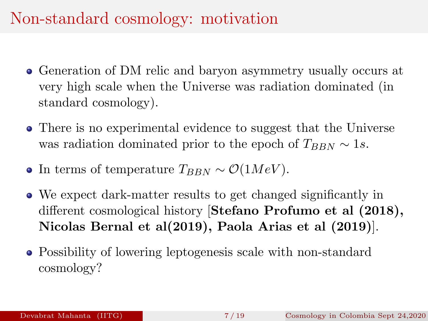# Non-standard cosmology: motivation

- Generation of DM relic and baryon asymmetry usually occurs at very high scale when the Universe was radiation dominated (in standard cosmology).
- There is no experimental evidence to suggest that the Universe was radiation dominated prior to the epoch of  $T_{BBN} \sim 1s$ .
- In terms of temperature  $T_{BBN} \sim \mathcal{O}(1MeV)$ .
- We expect dark-matter results to get changed significantly in different cosmological history [Stefano Profumo et al (2018), Nicolas Bernal et al(2019), Paola Arias et al (2019)].
- Possibility of lowering leptogenesis scale with non-standard cosmology?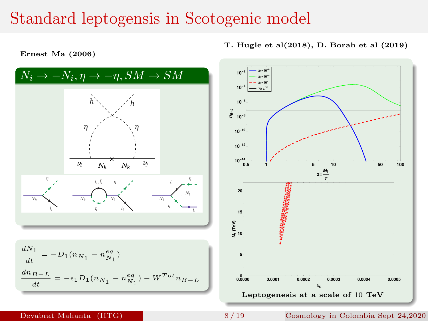### Standard leptogensis in Scotogenic model



Ernest Ma (2006)

### Devabrat Mahanta (IITG) 8 / 19 Cosmology in Colombia Sept 24,2020 8 / 19

T. Hugle et al(2018), D. Borah et al (2019)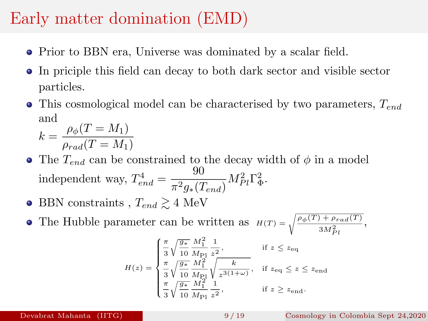# Early matter domination (EMD)

- Prior to BBN era, Universe was dominated by a scalar field.
- In priciple this field can decay to both dark sector and visible sector particles.
- This cosmological model can be characterised by two parameters,  $T_{end}$ and  $k$  $\rho_{\ell}(T = M_{\ell})$

$$
t = \frac{p_{\phi}(T - M_1)}{\rho_{rad}(T = M_1)}
$$

- The  $T_{end}$  can be constrained to the decay width of  $\phi$  in a model independent way,  $T_{end}^4 = \frac{90}{\pi^2 a_0}$  $\frac{30}{\pi^2 g_*(T_{end})} M_{Pl}^2 \Gamma_{\Phi}^2.$
- BBN constraints ,  $T_{end} \geq 4$  MeV
- The Hubble parameter can be written as  $H(T) = \sqrt{\frac{\rho_{\phi}(T) + \rho_{rad}(T)}{3M_{Pl}^2}},$

$$
H(z) = \begin{cases} \frac{\pi}{3} \sqrt{\frac{g_*}{10}} \frac{M_1^2}{M_{\text{Pl}}} \frac{1}{z^2}, & \text{if } z \leq z_{\text{eq}} \\ \frac{\pi}{3} \sqrt{\frac{g_*}{10}} \frac{M_1^2}{M_{\text{Pl}}} \sqrt{\frac{k}{z^{3(1+\omega)}}}, & \text{if } z_{\text{eq}} \leq z \leq z_{\text{end}} \\ \frac{\pi}{3} \sqrt{\frac{g_*}{10}} \frac{M_1^2}{M_{\text{Pl}}} \frac{1}{z^2}, & \text{if } z \geq z_{\text{end}}. \end{cases}
$$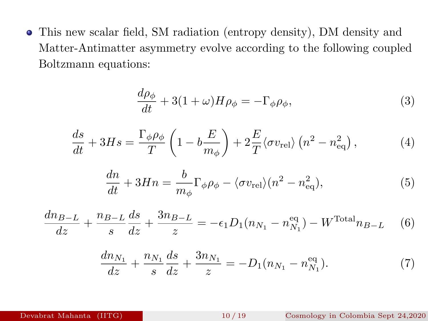This new scalar field, SM radiation (entropy density), DM density and Matter-Antimatter asymmetry evolve according to the following coupled Boltzmann equations:

$$
\frac{d\rho_{\phi}}{dt} + 3(1+\omega)H\rho_{\phi} = -\Gamma_{\phi}\rho_{\phi},\tag{3}
$$

$$
\frac{ds}{dt} + 3Hs = \frac{\Gamma_{\phi}\rho_{\phi}}{T} \left( 1 - b\frac{E}{m_{\phi}} \right) + 2\frac{E}{T} \langle \sigma v_{\text{rel}} \rangle \left( n^2 - n_{\text{eq}}^2 \right),\tag{4}
$$

$$
\frac{dn}{dt} + 3Hn = \frac{b}{m_{\phi}} \Gamma_{\phi} \rho_{\phi} - \langle \sigma v_{\text{rel}} \rangle (n^2 - n_{\text{eq}}^2),\tag{5}
$$

$$
\frac{dn_{B-L}}{dz} + \frac{n_{B-L}}{s} \frac{ds}{dz} + \frac{3n_{B-L}}{z} = -\epsilon_1 D_1(n_{N_1} - n_{N_1}^{\text{eq}}) - W^{\text{Total}} n_{B-L} \tag{6}
$$

$$
\frac{dn_{N_1}}{dz} + \frac{n_{N_1}}{s} \frac{ds}{dz} + \frac{3n_{N_1}}{z} = -D_1(n_{N_1} - n_{N_1}^{\text{eq}}). \tag{7}
$$

### Devabrat Mahanta (IITG) 10 / 19 Cosmology in Colombia Sept 24,2020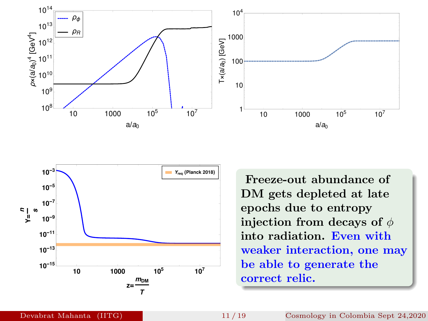



Freeze-out abundance of DM gets depleted at late epochs due to entropy injection from decays of  $\phi$ into radiation. Even with weaker interaction, one may be able to generate the correct relic.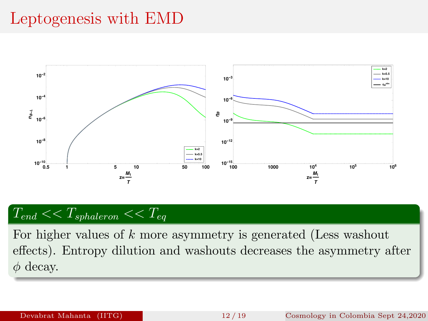## Leptogenesis with EMD



$$
T_{end} << T_{sphaleron} << T_{eq}
$$

For higher values of k more asymmetry is generated (Less washout effects). Entropy dilution and washouts decreases the asymmetry after  $\phi$  decay.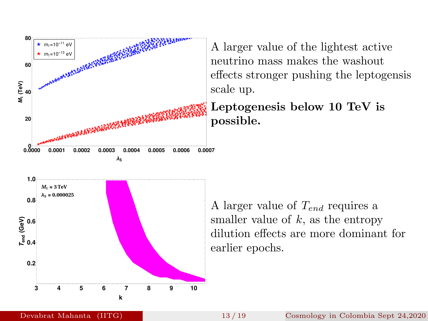

3 4 5 6 7 8 9 10

k

A larger value of the lightest active neutrino mass makes the washout effects stronger pushing the leptogensis scale up.

Leptogenesis below 10 TeV is possible.

A larger value of  $T_{end}$  requires a smaller value of  $k$ , as the entropy dilution effects are more dominant for earlier epochs.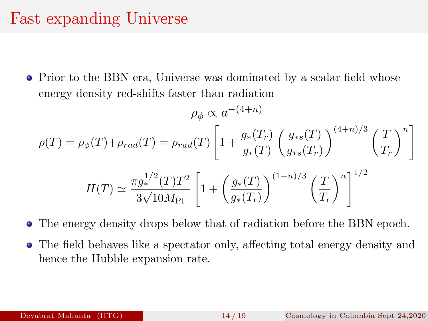## Fast expanding Universe

• Prior to the BBN era, Universe was dominated by a scalar field whose energy density red-shifts faster than radiation

$$
\rho_{\phi} \propto a^{-(4+n)}
$$

$$
\rho(T) = \rho_{\phi}(T) + \rho_{rad}(T) = \rho_{rad}(T) \left[ 1 + \frac{g_*(T_r)}{g_*(T)} \left( \frac{g_{*s}(T)}{g_{*s}(T_r)} \right)^{(4+n)/3} \left( \frac{T}{T_r} \right)^n \right]
$$

$$
H(T) \simeq \frac{\pi g_*^{1/2}(T)T^2}{3\sqrt{10}M_{\text{Pl}}} \left[ 1 + \left( \frac{g_*(T)}{g_*(T_r)} \right)^{(1+n)/3} \left( \frac{T}{T_r} \right)^n \right]^{1/2}
$$

- The energy density drops below that of radiation before the BBN epoch.
- The field behaves like a spectator only, affecting total energy density and hence the Hubble expansion rate.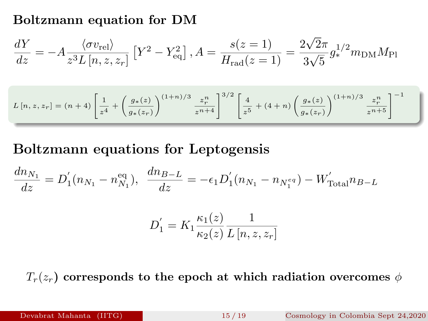### Boltzmann equation for DM

$$
\frac{dY}{dz} = -A \frac{\langle \sigma v_{\text{rel}} \rangle}{z^3 L [n, z, z_r]} [Y^2 - Y_{\text{eq}}^2], A = \frac{s(z = 1)}{H_{\text{rad}}(z = 1)} = \frac{2\sqrt{2}\pi}{3\sqrt{5}} g_*^{1/2} m_{\text{DM}} M_{\text{Pl}}
$$

$$
L\left[n,z,z_r\right] = (n+4)\left[\frac{1}{z^4} + \left(\frac{g_*(z)}{g_*(z_r)}\right)^{(1+n)/3} \frac{z_r^n}{z^{n+4}}\right]^{3/2} \left[\frac{4}{z^5} + (4+n)\left(\frac{g_*(z)}{g_*(z_r)}\right)^{(1+n)/3} \frac{z_r^n}{z^{n+5}}\right]^{-1}
$$

### Boltzmann equations for Leptogensis

$$
\frac{dn_{N_1}}{dz} = D_1'(n_{N_1} - n_{N_1}^{\text{eq}}), \quad \frac{dn_{B-L}}{dz} = -\epsilon_1 D_1'(n_{N_1} - n_{N_1^{\text{eq}}}) - W_{\text{Total}}' n_{B-L}
$$

$$
D_1' = K_1 \frac{\kappa_1(z)}{\kappa_2(z)} \frac{1}{L[n, z, z_r]}
$$

 $T_r(z_r)$  corresponds to the epoch at which radiation overcomes  $\phi$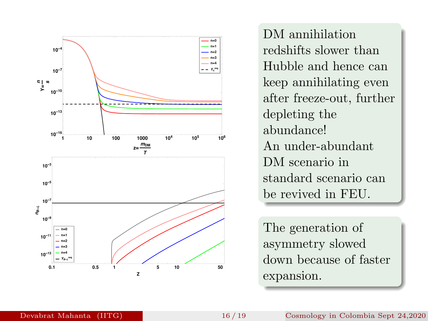

DM annihilation redshifts slower than Hubble and hence can keep annihilating even after freeze-out, further depleting the abundance! An under-abundant DM scenario in standard scenario can be revived in FEU.

The generation of asymmetry slowed down because of faster expansion.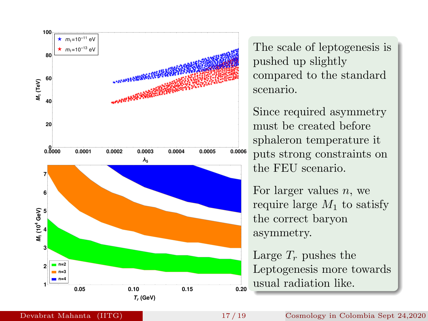

The scale of leptogenesis is pushed up slightly compared to the standard scenario.

Since required asymmetry must be created before sphaleron temperature it puts strong constraints on the FEU scenario.

For larger values  $n$ , we require large  $M_1$  to satisfy the correct baryon asymmetry.

Large  $T_r$  pushes the Leptogenesis more towards usual radiation like.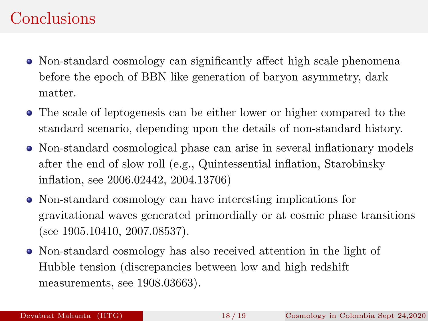### **Conclusions**

- Non-standard cosmology can significantly affect high scale phenomena before the epoch of BBN like generation of baryon asymmetry, dark matter.
- The scale of leptogenesis can be either lower or higher compared to the standard scenario, depending upon the details of non-standard history.
- Non-standard cosmological phase can arise in several inflationary models after the end of slow roll (e.g., Quintessential inflation, Starobinsky inflation, see 2006.02442, 2004.13706)
- Non-standard cosmology can have interesting implications for gravitational waves generated primordially or at cosmic phase transitions (see 1905.10410, 2007.08537).
- Non-standard cosmology has also received attention in the light of Hubble tension (discrepancies between low and high redshift measurements, see 1908.03663).